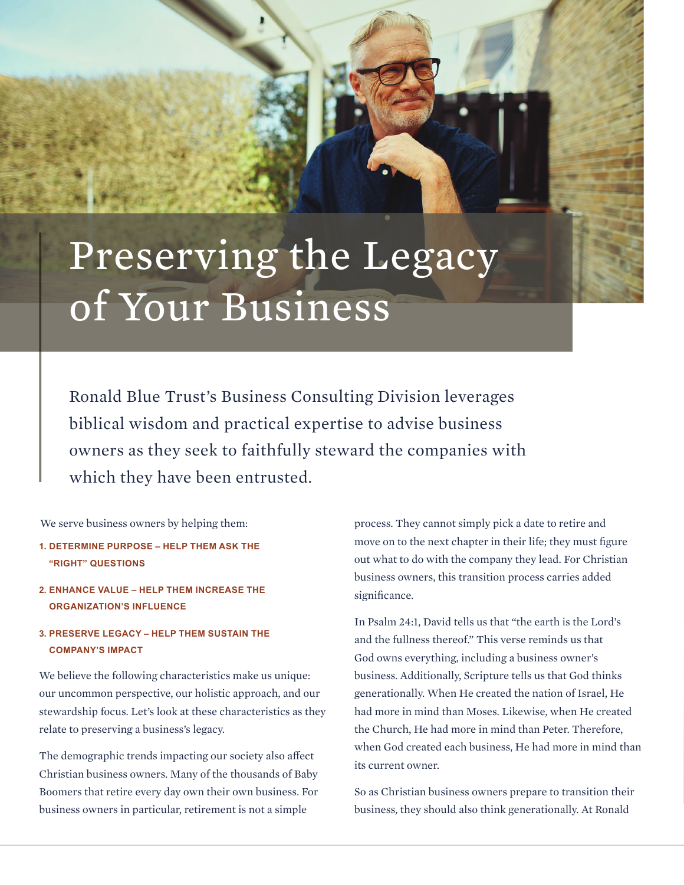## Preserving the Legacy of Your Business

Ronald Blue Trust's Business Consulting Division leverages biblical wisdom and practical expertise to advise business owners as they seek to faithfully steward the companies with which they have been entrusted.

We serve business owners by helping them:

- **1. DETERMINE PURPOSE HELP THEM ASK THE "RIGHT" QUESTIONS**
- **2. ENHANCE VALUE HELP THEM INCREASE THE ORGANIZATION'S INFLUENCE**
- **3. PRESERVE LEGACY HELP THEM SUSTAIN THE COMPANY'S IMPACT**

We believe the following characteristics make us unique: our uncommon perspective, our holistic approach, and our stewardship focus. Let's look at these characteristics as they relate to preserving a business's legacy.

The demographic trends impacting our society also affect Christian business owners. Many of the thousands of Baby Boomers that retire every day own their own business. For business owners in particular, retirement is not a simple

process. They cannot simply pick a date to retire and move on to the next chapter in their life; they must figure out what to do with the company they lead. For Christian business owners, this transition process carries added significance.

In Psalm 24:1, David tells us that "the earth is the Lord's and the fullness thereof." This verse reminds us that God owns everything, including a business owner's business. Additionally, Scripture tells us that God thinks generationally. When He created the nation of Israel, He had more in mind than Moses. Likewise, when He created the Church, He had more in mind than Peter. Therefore, when God created each business, He had more in mind than its current owner.

So as Christian business owners prepare to transition their business, they should also think generationally. At Ronald